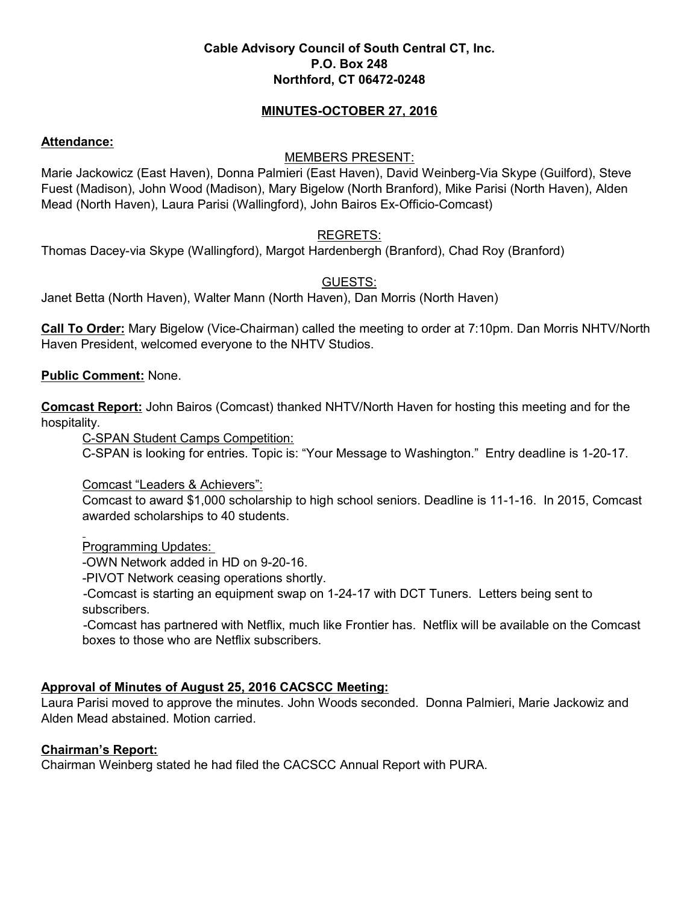#### **Cable Advisory Council of South Central CT, Inc. P.O. Box 248 Northford, CT 06472-0248**

#### **MINUTES-OCTOBER 27, 2016**

#### **Attendance:**

### MEMBERS PRESENT:

Marie Jackowicz (East Haven), Donna Palmieri (East Haven), David Weinberg-Via Skype (Guilford), Steve Fuest (Madison), John Wood (Madison), Mary Bigelow (North Branford), Mike Parisi (North Haven), Alden Mead (North Haven), Laura Parisi (Wallingford), John Bairos Ex-Officio-Comcast)

## REGRETS:

Thomas Dacey-via Skype (Wallingford), Margot Hardenbergh (Branford), Chad Roy (Branford)

### GUESTS:

Janet Betta (North Haven), Walter Mann (North Haven), Dan Morris (North Haven)

**Call To Order:** Mary Bigelow (Vice-Chairman) called the meeting to order at 7:10pm. Dan Morris NHTV/North Haven President, welcomed everyone to the NHTV Studios.

#### **Public Comment:** None.

**Comcast Report:** John Bairos (Comcast) thanked NHTV/North Haven for hosting this meeting and for the hospitality.

C-SPAN Student Camps Competition:

C-SPAN is looking for entries. Topic is: "Your Message to Washington." Entry deadline is 1-20-17.

Comcast "Leaders & Achievers":

Comcast to award \$1,000 scholarship to high school seniors. Deadline is 11-1-16. In 2015, Comcast awarded scholarships to 40 students.

Programming Updates:

-OWN Network added in HD on 9-20-16.

-PIVOT Network ceasing operations shortly.

-Comcast is starting an equipment swap on 1-24-17 with DCT Tuners. Letters being sent to subscribers.

-Comcast has partnered with Netflix, much like Frontier has. Netflix will be available on the Comcast boxes to those who are Netflix subscribers.

## **Approval of Minutes of August 25, 2016 CACSCC Meeting:**

Laura Parisi moved to approve the minutes. John Woods seconded. Donna Palmieri, Marie Jackowiz and Alden Mead abstained. Motion carried.

## **Chairman's Report:**

Chairman Weinberg stated he had filed the CACSCC Annual Report with PURA.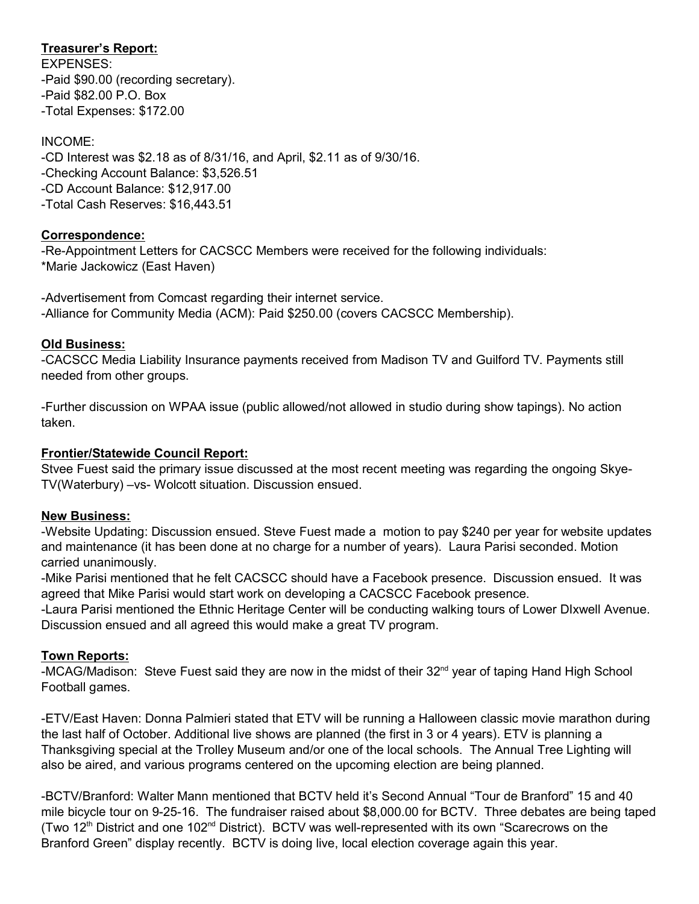# **Treasurer's Report:**

EXPENSES: -Paid \$90.00 (recording secretary). -Paid \$82.00 P.O. Box -Total Expenses: \$172.00

## INCOME:

-CD Interest was \$2.18 as of 8/31/16, and April, \$2.11 as of 9/30/16. -Checking Account Balance: \$3,526.51 -CD Account Balance: \$12,917.00 -Total Cash Reserves: \$16,443.51

### **Correspondence:**

-Re-Appointment Letters for CACSCC Members were received for the following individuals: \*Marie Jackowicz (East Haven)

-Advertisement from Comcast regarding their internet service. -Alliance for Community Media (ACM): Paid \$250.00 (covers CACSCC Membership).

## **Old Business:**

-CACSCC Media Liability Insurance payments received from Madison TV and Guilford TV. Payments still needed from other groups.

-Further discussion on WPAA issue (public allowed/not allowed in studio during show tapings). No action taken.

## **Frontier/Statewide Council Report:**

Stvee Fuest said the primary issue discussed at the most recent meeting was regarding the ongoing Skye-TV(Waterbury) –vs- Wolcott situation. Discussion ensued.

#### **New Business:**

-Website Updating: Discussion ensued. Steve Fuest made a motion to pay \$240 per year for website updates and maintenance (it has been done at no charge for a number of years). Laura Parisi seconded. Motion carried unanimously.

-Mike Parisi mentioned that he felt CACSCC should have a Facebook presence. Discussion ensued. It was agreed that Mike Parisi would start work on developing a CACSCC Facebook presence.

-Laura Parisi mentioned the Ethnic Heritage Center will be conducting walking tours of Lower DIxwell Avenue. Discussion ensued and all agreed this would make a great TV program.

## **Town Reports:**

-MCAG/Madison: Steve Fuest said they are now in the midst of their 32<sup>nd</sup> year of taping Hand High School Football games.

-ETV/East Haven: Donna Palmieri stated that ETV will be running a Halloween classic movie marathon during the last half of October. Additional live shows are planned (the first in 3 or 4 years). ETV is planning a Thanksgiving special at the Trolley Museum and/or one of the local schools. The Annual Tree Lighting will also be aired, and various programs centered on the upcoming election are being planned.

-BCTV/Branford: Walter Mann mentioned that BCTV held it's Second Annual "Tour de Branford" 15 and 40 mile bicycle tour on 9-25-16. The fundraiser raised about \$8,000.00 for BCTV. Three debates are being taped (Two 12th District and one 102nd District). BCTV was well-represented with its own "Scarecrows on the Branford Green" display recently. BCTV is doing live, local election coverage again this year.